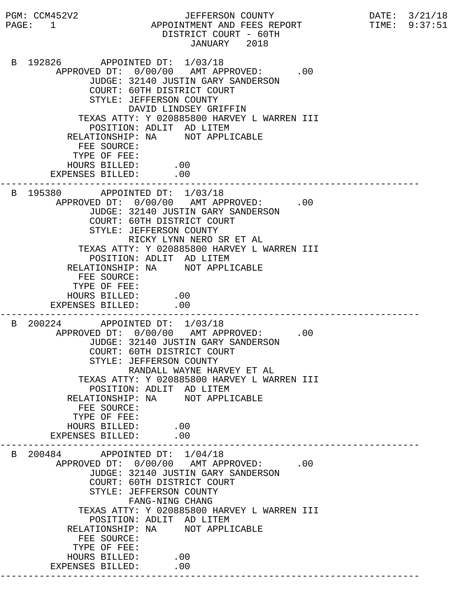PGM: CCM452V2 JEFFERSON COUNTY DATE: 3/21/18 PAGE: 1 APPOINTMENT AND FEES REPORT TIME: 9:37:51 DISTRICT COURT - 60TH JANUARY 2018 B 192826 APPOINTED DT: 1/03/18 APPROVED DT:  $0/00/00$  AMT APPROVED: .00 JUDGE: 32140 JUSTIN GARY SANDERSON COURT: 60TH DISTRICT COURT STYLE: JEFFERSON COUNTY DAVID LINDSEY GRIFFIN TEXAS ATTY: Y 020885800 HARVEY L WARREN III POSITION: ADLIT AD LITEM RELATIONSHIP: NA NOT APPLICABLE FEE SOURCE: TYPE OF FEE: HOURS BILLED: .00 EXPENSES BILLED: .00 --------------------------------------------------------------------------- B 195380 APPOINTED DT: 1/03/18 APPROVED DT:  $0/00/00$  AMT APPROVED: .00 JUDGE: 32140 JUSTIN GARY SANDERSON COURT: 60TH DISTRICT COURT STYLE: JEFFERSON COUNTY RICKY LYNN NERO SR ET AL TEXAS ATTY: Y 020885800 HARVEY L WARREN III POSITION: ADLIT AD LITEM RELATIONSHIP: NA NOT APPLICABLE FEE SOURCE: TYPE OF FEE: HOURS BILLED: .00 EXPENSES BILLED: .00 --------------------------------------------------------------------------- B 200224 APPOINTED DT: 1/03/18 APPROVED DT:  $0/00/00$  AMT APPROVED: .00 JUDGE: 32140 JUSTIN GARY SANDERSON COURT: 60TH DISTRICT COURT STYLE: JEFFERSON COUNTY RANDALL WAYNE HARVEY ET AL TEXAS ATTY: Y 020885800 HARVEY L WARREN III POSITION: ADLIT AD LITEM RELATIONSHIP: NA NOT APPLICABLE FEE SOURCE: TYPE OF FEE: HOURS BILLED: .00<br>ENSES BILLED: .00 EXPENSES BILLED: --------------------------------------------------------------------------- B 200484 APPOINTED DT: 1/04/18 APPROVED DT:  $0/00/00$  AMT APPROVED: .00 JUDGE: 32140 JUSTIN GARY SANDERSON COURT: 60TH DISTRICT COURT STYLE: JEFFERSON COUNTY FANG-NING CHANG TEXAS ATTY: Y 020885800 HARVEY L WARREN III POSITION: ADLIT AD LITEM RELATIONSHIP: NA NOT APPLICABLE FEE SOURCE: TYPE OF FEE: HOURS BILLED: .00 EXPENSES BILLED: .00 ---------------------------------------------------------------------------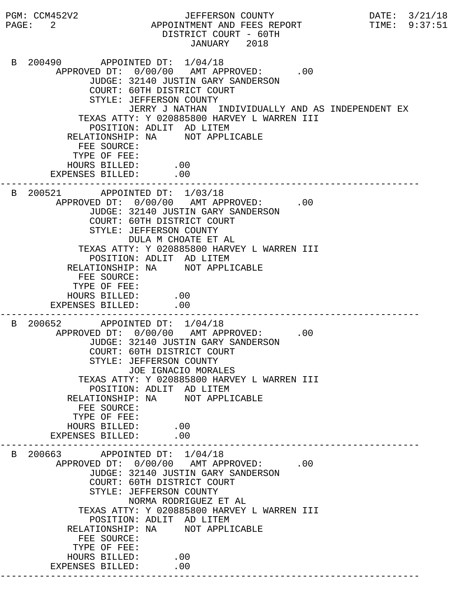PGM: CCM452V2 JEFFERSON COUNTY DATE: 3/21/18 PAGE: 2 APPOINTMENT AND FEES REPORT TIME: 9:37:51 DISTRICT COURT - 60TH JANUARY 2018 B 200490 APPOINTED DT: 1/04/18 APPROVED DT:  $0/00/00$  AMT APPROVED: .00 JUDGE: 32140 JUSTIN GARY SANDERSON COURT: 60TH DISTRICT COURT STYLE: JEFFERSON COUNTY JERRY J NATHAN INDIVIDUALLY AND AS INDEPENDENT EX TEXAS ATTY: Y 020885800 HARVEY L WARREN III POSITION: ADLIT AD LITEM RELATIONSHIP: NA NOT APPLICABLE FEE SOURCE: TYPE OF FEE: HOURS BILLED: .00 EXPENSES BILLED: .00 --------------------------------------------------------------------------- B 200521 APPOINTED DT: 1/03/18 APPROVED DT:  $0/00/00$  AMT APPROVED: .00 JUDGE: 32140 JUSTIN GARY SANDERSON COURT: 60TH DISTRICT COURT STYLE: JEFFERSON COUNTY DULA M CHOATE ET AL TEXAS ATTY: Y 020885800 HARVEY L WARREN III POSITION: ADLIT AD LITEM RELATIONSHIP: NA NOT APPLICABLE FEE SOURCE: TYPE OF FEE: HOURS BILLED: .00 EXPENSES BILLED: .00 --------------------------------------------------------------------------- B 200652 APPOINTED DT: 1/04/18 APPROVED DT:  $0/00/00$  AMT APPROVED: .00 JUDGE: 32140 JUSTIN GARY SANDERSON COURT: 60TH DISTRICT COURT STYLE: JEFFERSON COUNTY JOE IGNACIO MORALES TEXAS ATTY: Y 020885800 HARVEY L WARREN III POSITION: ADLIT AD LITEM RELATIONSHIP: NA NOT APPLICABLE FEE SOURCE: TYPE OF FEE: HOURS BILLED: .00<br>ENSES BILLED: .00 EXPENSES BILLED: --------------------------------------------------------------------------- B 200663 APPOINTED DT: 1/04/18 APPROVED DT:  $0/00/00$  AMT APPROVED: .00 JUDGE: 32140 JUSTIN GARY SANDERSON COURT: 60TH DISTRICT COURT STYLE: JEFFERSON COUNTY NORMA RODRIGUEZ ET AL TEXAS ATTY: Y 020885800 HARVEY L WARREN III POSITION: ADLIT AD LITEM RELATIONSHIP: NA NOT APPLICABLE FEE SOURCE: TYPE OF FEE: HOURS BILLED: .00 EXPENSES BILLED: .00 ---------------------------------------------------------------------------